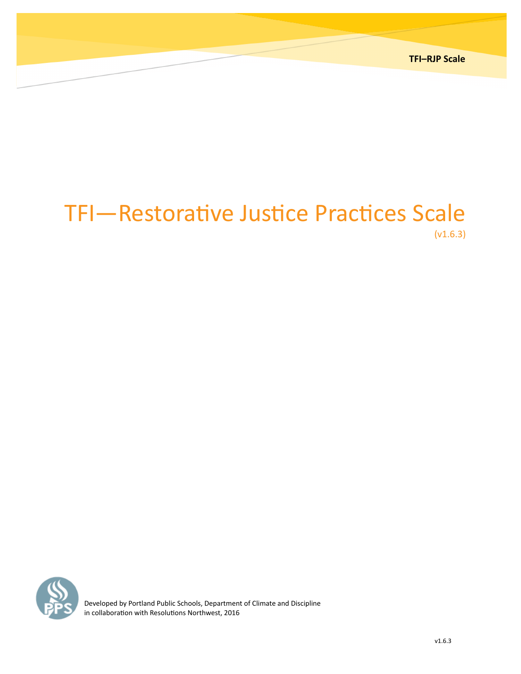# TFI-Restorative Justice Practices Scale (v1.6.3)



Developed by Portland Public Schools, Department of Climate and Discipline in collaboration with Resolutions Northwest, 2016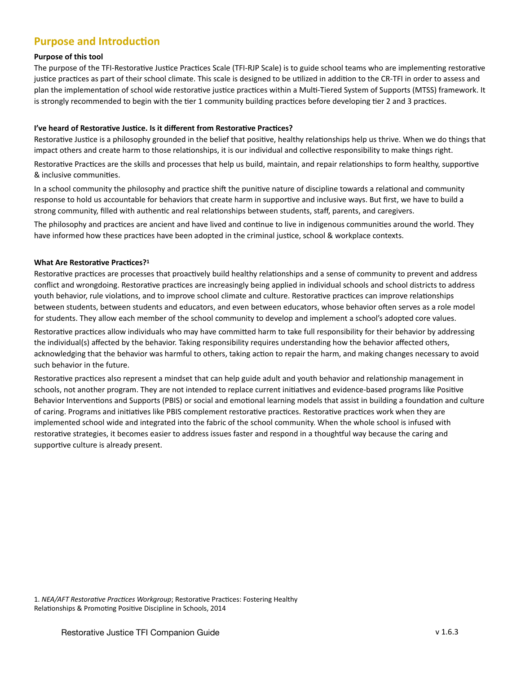### **Purpose and Introduction**

#### **Purpose of this tool**

The purpose of the TFI-Restorative Justice Practices Scale (TFI-RJP Scale) is to guide school teams who are implementing restorative justice practices as part of their school climate. This scale is designed to be utilized in addition to the CR-TFI in order to assess and plan the implementation of school wide restorative justice practices within a Multi-Tiered System of Supports (MTSS) framework. It is strongly recommended to begin with the tier 1 community building practices before developing tier 2 and 3 practices.

#### **I've heard of Restorative Justice. Is it different from Restorative Practices?**

Restorative Justice is a philosophy grounded in the belief that positive, healthy relationships help us thrive. When we do things that impact others and create harm to those relationships, it is our individual and collective responsibility to make things right.

Restorative Practices are the skills and processes that help us build, maintain, and repair relationships to form healthy, supportive & inclusive communities.

In a school community the philosophy and practice shift the punitive nature of discipline towards a relational and community response to hold us accountable for behaviors that create harm in supportive and inclusive ways. But first, we have to build a strong community, filled with authentic and real relationships between students, staff, parents, and caregivers.

The philosophy and practices are ancient and have lived and continue to live in indigenous communities around the world. They have informed how these practices have been adopted in the criminal justice, school & workplace contexts.

#### **What Are Restorative Practices?1**

Restorative practices are processes that proactively build healthy relationships and a sense of community to prevent and address conflict and wrongdoing. Restorative practices are increasingly being applied in individual schools and school districts to address youth behavior, rule violations, and to improve school climate and culture. Restorative practices can improve relationships between students, between students and educators, and even between educators, whose behavior often serves as a role model for students. They allow each member of the school community to develop and implement a school's adopted core values.

Restorative practices allow individuals who may have committed harm to take full responsibility for their behavior by addressing the individual(s) affected by the behavior. Taking responsibility requires understanding how the behavior affected others, acknowledging that the behavior was harmful to others, taking action to repair the harm, and making changes necessary to avoid such behavior in the future.

Restorative practices also represent a mindset that can help guide adult and youth behavior and relationship management in schools, not another program. They are not intended to replace current initiatives and evidence-based programs like Positive Behavior Interventions and Supports (PBIS) or social and emotional learning models that assist in building a foundation and culture of caring. Programs and initiatives like PBIS complement restorative practices. Restorative practices work when they are implemented school wide and integrated into the fabric of the school community. When the whole school is infused with restorative strategies, it becomes easier to address issues faster and respond in a thoughtful way because the caring and supportive culture is already present.

1. NEA/AFT Restorative Practices Workgroup; Restorative Practices: Fostering Healthy Relationships & Promoting Positive Discipline in Schools, 2014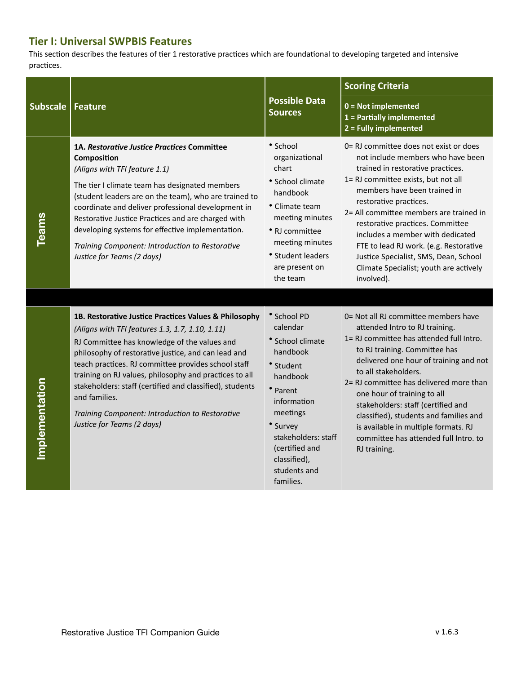## **Tier I: Universal SWPBIS Features**

This section describes the features of tier 1 restorative practices which are foundational to developing targeted and intensive practices.

|                 |                                                                                                                                                                                                                                                                                                                                                                                                                                                                                                |                                                                                                                                                                                                                                         | <b>Scoring Criteria</b>                                                                                                                                                                                                                                                                                                                                                                                                                                                          |  |
|-----------------|------------------------------------------------------------------------------------------------------------------------------------------------------------------------------------------------------------------------------------------------------------------------------------------------------------------------------------------------------------------------------------------------------------------------------------------------------------------------------------------------|-----------------------------------------------------------------------------------------------------------------------------------------------------------------------------------------------------------------------------------------|----------------------------------------------------------------------------------------------------------------------------------------------------------------------------------------------------------------------------------------------------------------------------------------------------------------------------------------------------------------------------------------------------------------------------------------------------------------------------------|--|
| <b>Subscale</b> | <b>Feature</b>                                                                                                                                                                                                                                                                                                                                                                                                                                                                                 | <b>Possible Data</b><br><b>Sources</b>                                                                                                                                                                                                  | $0 = Not$ implemented<br>1 = Partially implemented<br>2 = Fully implemented                                                                                                                                                                                                                                                                                                                                                                                                      |  |
| <b>Teams</b>    | 1A. Restorative Justice Practices Committee<br>Composition<br>(Aligns with TFI feature 1.1)<br>The tier I climate team has designated members<br>(student leaders are on the team), who are trained to<br>coordinate and deliver professional development in<br>Restorative Justice Practices and are charged with<br>developing systems for effective implementation.<br>Training Component: Introduction to Restorative<br>Justice for Teams (2 days)                                        | • School<br>organizational<br>chart<br>• School climate<br>handbook<br>• Climate team<br>meeting minutes<br>• RJ committee<br>meeting minutes<br>• Student leaders<br>are present on<br>the team                                        | 0= RJ committee does not exist or does<br>not include members who have been<br>trained in restorative practices.<br>1= RJ committee exists, but not all<br>members have been trained in<br>restorative practices.<br>2= All committee members are trained in<br>restorative practices. Committee<br>includes a member with dedicated<br>FTE to lead RJ work. (e.g. Restorative<br>Justice Specialist, SMS, Dean, School<br>Climate Specialist; youth are actively<br>involved).  |  |
| mplementation   | 1B. Restorative Justice Practices Values & Philosophy<br>(Aligns with TFI features 1.3, 1.7, 1.10, 1.11)<br>RJ Committee has knowledge of the values and<br>philosophy of restorative justice, and can lead and<br>teach practices. RJ committee provides school staff<br>training on RJ values, philosophy and practices to all<br>stakeholders: staff (certified and classified), students<br>and families.<br>Training Component: Introduction to Restorative<br>Justice for Teams (2 days) | * School PD<br>calendar<br><i><b>*</b></i> School climate<br>handbook<br>* Student<br>handbook<br>• Parent<br>information<br>meetings<br>• Survey<br>stakeholders: staff<br>(certified and<br>classified),<br>students and<br>families. | 0= Not all RJ committee members have<br>attended Intro to RJ training.<br>1= RJ committee has attended full Intro.<br>to RJ training. Committee has<br>delivered one hour of training and not<br>to all stakeholders.<br>2= RJ committee has delivered more than<br>one hour of training to all<br>stakeholders: staff (certified and<br>classified), students and families and<br>is available in multiple formats. RJ<br>committee has attended full Intro, to<br>RJ training. |  |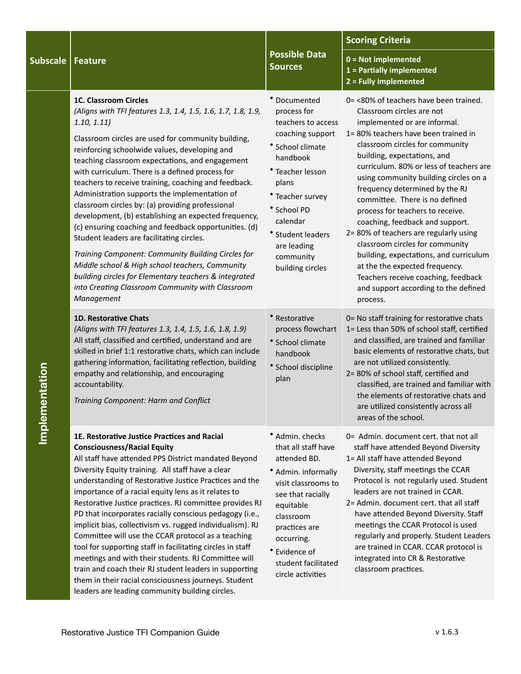|                     |                                                                                                                                                                                                                                                                                                                                                                                                                                                                                                                                                                                                                                                                                                                                                                                                                                                                                  |                                                                                                                                                                                                                                                                      | <b>Scoring Criteria</b>                                                                                                                                                                                                                                                                                                                                                                                                                                                                                                                                                                                                                                                                        |  |
|---------------------|----------------------------------------------------------------------------------------------------------------------------------------------------------------------------------------------------------------------------------------------------------------------------------------------------------------------------------------------------------------------------------------------------------------------------------------------------------------------------------------------------------------------------------------------------------------------------------------------------------------------------------------------------------------------------------------------------------------------------------------------------------------------------------------------------------------------------------------------------------------------------------|----------------------------------------------------------------------------------------------------------------------------------------------------------------------------------------------------------------------------------------------------------------------|------------------------------------------------------------------------------------------------------------------------------------------------------------------------------------------------------------------------------------------------------------------------------------------------------------------------------------------------------------------------------------------------------------------------------------------------------------------------------------------------------------------------------------------------------------------------------------------------------------------------------------------------------------------------------------------------|--|
| <b>Subscale</b>     | Feature                                                                                                                                                                                                                                                                                                                                                                                                                                                                                                                                                                                                                                                                                                                                                                                                                                                                          | <b>Possible Data</b><br><b>Sources</b>                                                                                                                                                                                                                               | 0 = Not implemented<br>1 = Partially implemented<br>2 = Fully implemented                                                                                                                                                                                                                                                                                                                                                                                                                                                                                                                                                                                                                      |  |
| mentation<br>Impler | 1C. Classroom Circles<br>(Aligns with TFI features 1.3, 1.4, 1.5, 1.6, 1.7, 1.8, 1.9,<br>1.10, 1.11)<br>Classroom circles are used for community building,<br>reinforcing schoolwide values, developing and<br>teaching classroom expectations, and engagement<br>with curriculum. There is a defined process for<br>teachers to receive training, coaching and feedback.<br>Administration supports the implementation of<br>classroom circles by: (a) providing professional<br>development, (b) establishing an expected frequency,<br>(c) ensuring coaching and feedback opportunities. (d)<br>Student leaders are facilitating circles.<br>Training Component: Community Building Circles for<br>Middle school & High school teachers, Community<br>building circles for Elementary teachers & integrated<br>into Creating Classroom Community with Classroom<br>Management | * Documented<br>process for<br>teachers to access<br>coaching support<br><i>*</i> School climate<br>handbook<br><i>C</i> Teacher lesson<br>plans<br>• Teacher survey<br>* School PD<br>calendar<br>* Student leaders<br>are leading<br>community<br>building circles | 0= <80% of teachers have been trained.<br>Classroom circles are not<br>implemented or are informal.<br>1=80% teachers have been trained in<br>classroom circles for community<br>building, expectations, and<br>curriculum. 80% or less of teachers are<br>using community building circles on a<br>frequency determined by the RJ<br>committee. There is no defined<br>process for teachers to receive.<br>coaching, feedback and support.<br>2=80% of teachers are regularly using<br>classroom circles for community<br>building, expectations, and curriculum<br>at the the expected frequency.<br>Teachers receive coaching, feedback<br>and support according to the defined<br>process. |  |
|                     | <b>1D. Restorative Chats</b><br>(Aligns with TFI features 1.3, 1.4, 1.5, 1.6, 1.8, 1.9)<br>All staff, classified and certified, understand and are<br>skilled in brief 1:1 restorative chats, which can include<br>gathering information, facilitating reflection, building<br>empathy and relationship, and encouraging<br>accountability.<br>Training Component: Harm and Conflict                                                                                                                                                                                                                                                                                                                                                                                                                                                                                             | • Restorative<br>process flowchart<br><i>*</i> School climate<br>handbook<br><i>*</i> School discipline<br>plan                                                                                                                                                      | 0= No staff training for restorative chats<br>1= Less than 50% of school staff, certified<br>and classified, are trained and familiar<br>basic elements of restorative chats, but<br>are not utilized consistently.<br>2=80% of school staff, certified and<br>classified, are trained and familiar with<br>the elements of restorative chats and<br>are utilized consistently across all<br>areas of the school.                                                                                                                                                                                                                                                                              |  |
|                     | 1E. Restorative Justice Practices and Racial<br><b>Consciousness/Racial Equity</b><br>All staff have attended PPS District mandated Beyond<br>Diversity Equity training. All staff have a clear<br>understanding of Restorative Justice Practices and the<br>importance of a racial equity lens as it relates to<br>Restorative Justice practices. RJ committee provides RJ<br>PD that incorporates racially conscious pedagogy (i.e.,<br>implicit bias, collectivism vs. rugged individualism). RJ<br>Committee will use the CCAR protocol as a teaching<br>tool for supporting staff in facilitating circles in staff<br>meetings and with their students. RJ Committee will<br>train and coach their RJ student leaders in supporting<br>them in their racial consciousness journeys. Student<br>leaders are leading community building circles.                              | • Admin. checks<br>that all staff have<br>attended BD.<br>• Admin. informally<br>visit classrooms to<br>see that racially<br>equitable<br>classroom<br>practices are<br>occurring.<br>Evidence of<br>student facilitated<br>circle activities                        | 0= Admin. document cert. that not all<br>staff have attended Beyond Diversity<br>1= All staff have attended Beyond<br>Diversity, staff meetings the CCAR<br>Protocol is not regularly used. Student<br>leaders are not trained in CCAR.<br>2= Admin. document cert. that all staff<br>have attended Beyond Diversity. Staff<br>meetings the CCAR Protocol is used<br>regularly and properly. Student Leaders<br>are trained in CCAR. CCAR protocol is<br>integrated into CR & Restorative<br>classroom practices.                                                                                                                                                                              |  |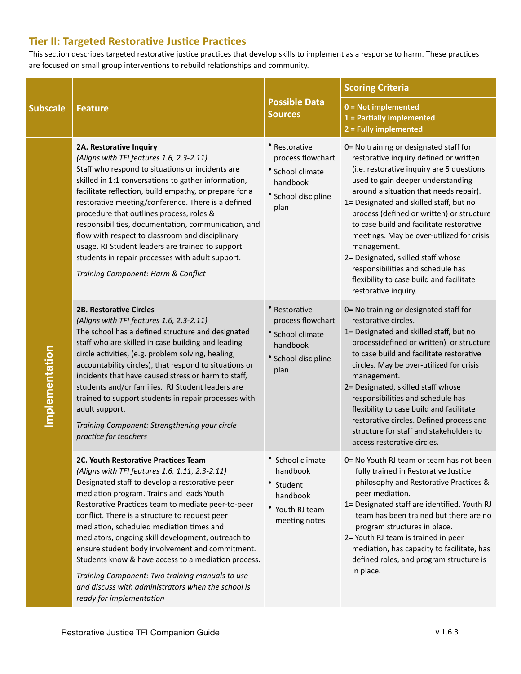## **Tier II: Targeted Restorative Justice Practices**

This section describes targeted restorative justice practices that develop skills to implement as a response to harm. These practices are focused on small group interventions to rebuild relationships and community.

|                 |                                                                                                                                                                                                                                                                                                                                                                                                                                                                                                                                                                                                                                               |                                                                                                                 | <b>Scoring Criteria</b>                                                                                                                                                                                                                                                                                                                                                                                                                                                                                                                                      |  |
|-----------------|-----------------------------------------------------------------------------------------------------------------------------------------------------------------------------------------------------------------------------------------------------------------------------------------------------------------------------------------------------------------------------------------------------------------------------------------------------------------------------------------------------------------------------------------------------------------------------------------------------------------------------------------------|-----------------------------------------------------------------------------------------------------------------|--------------------------------------------------------------------------------------------------------------------------------------------------------------------------------------------------------------------------------------------------------------------------------------------------------------------------------------------------------------------------------------------------------------------------------------------------------------------------------------------------------------------------------------------------------------|--|
| <b>Subscale</b> | <b>Feature</b>                                                                                                                                                                                                                                                                                                                                                                                                                                                                                                                                                                                                                                | <b>Possible Data</b><br><b>Sources</b>                                                                          | 0 = Not implemented<br>1 = Partially implemented<br>2 = Fully implemented                                                                                                                                                                                                                                                                                                                                                                                                                                                                                    |  |
|                 | 2A. Restorative Inquiry<br>(Aligns with TFI features 1.6, 2.3-2.11)<br>Staff who respond to situations or incidents are<br>skilled in 1:1 conversations to gather information,<br>facilitate reflection, build empathy, or prepare for a<br>restorative meeting/conference. There is a defined<br>procedure that outlines process, roles &<br>responsibilities, documentation, communication, and<br>flow with respect to classroom and disciplinary<br>usage. RJ Student leaders are trained to support<br>students in repair processes with adult support.<br>Training Component: Harm & Conflict                                           | • Restorative<br>process flowchart<br>* School climate<br>handbook<br><i><b>*</b></i> School discipline<br>plan | 0= No training or designated staff for<br>restorative inquiry defined or written.<br>(i.e. restorative inquiry are 5 questions<br>used to gain deeper understanding<br>around a situation that needs repair).<br>1= Designated and skilled staff, but no<br>process (defined or written) or structure<br>to case build and facilitate restorative<br>meetings. May be over-utilized for crisis<br>management.<br>2= Designated, skilled staff whose<br>responsibilities and schedule has<br>flexibility to case build and facilitate<br>restorative inquiry. |  |
| Implementation  | <b>2B. Restorative Circles</b><br>(Aligns with TFI features 1.6, 2.3-2.11)<br>The school has a defined structure and designated<br>staff who are skilled in case building and leading<br>circle activities, (e.g. problem solving, healing,<br>accountability circles), that respond to situations or<br>incidents that have caused stress or harm to staff,<br>students and/or families. RJ Student leaders are<br>trained to support students in repair processes with<br>adult support.<br>Training Component: Strengthening your circle<br>practice for teachers                                                                          | • Restorative<br>process flowchart<br><i>*</i> School climate<br>handbook<br><i>*</i> School discipline<br>plan | 0= No training or designated staff for<br>restorative circles.<br>1= Designated and skilled staff, but no<br>process(defined or written) or structure<br>to case build and facilitate restorative<br>circles. May be over-utilized for crisis<br>management.<br>2= Designated, skilled staff whose<br>responsibilities and schedule has<br>flexibility to case build and facilitate<br>restorative circles. Defined process and<br>structure for staff and stakeholders to<br>access restorative circles.                                                    |  |
|                 | 2C. Youth Restorative Practices Team<br>(Aligns with TFI features 1.6, 1.11, 2.3-2.11)<br>Designated staff to develop a restorative peer<br>mediation program. Trains and leads Youth<br>Restorative Practices team to mediate peer-to-peer<br>conflict. There is a structure to request peer<br>mediation, scheduled mediation times and<br>mediators, ongoing skill development, outreach to<br>ensure student body involvement and commitment.<br>Students know & have access to a mediation process.<br>Training Component: Two training manuals to use<br>and discuss with administrators when the school is<br>ready for implementation | • School climate<br>handbook<br>• Student<br>handbook<br>Youth RJ team<br>meeting notes                         | 0= No Youth RJ team or team has not been<br>fully trained in Restorative Justice<br>philosophy and Restorative Practices &<br>peer mediation.<br>1= Designated staff are identified. Youth RJ<br>team has been trained but there are no<br>program structures in place.<br>2= Youth RJ team is trained in peer<br>mediation, has capacity to facilitate, has<br>defined roles, and program structure is<br>in place.                                                                                                                                         |  |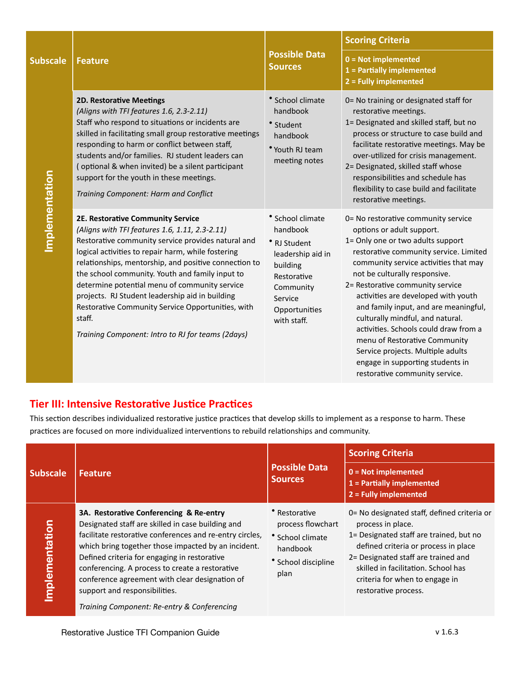|                 |                                                                                                                                                                                                                                                                                                                                                                                                                                                                                                                                     |                                                                                                                                                                    | <b>Scoring Criteria</b>                                                                                                                                                                                                                                                                                                                                                                                                                                                                                                              |  |
|-----------------|-------------------------------------------------------------------------------------------------------------------------------------------------------------------------------------------------------------------------------------------------------------------------------------------------------------------------------------------------------------------------------------------------------------------------------------------------------------------------------------------------------------------------------------|--------------------------------------------------------------------------------------------------------------------------------------------------------------------|--------------------------------------------------------------------------------------------------------------------------------------------------------------------------------------------------------------------------------------------------------------------------------------------------------------------------------------------------------------------------------------------------------------------------------------------------------------------------------------------------------------------------------------|--|
| <b>Subscale</b> | <b>Feature</b>                                                                                                                                                                                                                                                                                                                                                                                                                                                                                                                      | <b>Possible Data</b><br><b>Sources</b>                                                                                                                             | 0 = Not implemented<br>1 = Partially implemented<br>2 = Fully implemented                                                                                                                                                                                                                                                                                                                                                                                                                                                            |  |
|                 | <b>2D. Restorative Meetings</b><br>(Aligns with TFI features 1.6, 2.3-2.11)<br>Staff who respond to situations or incidents are<br>skilled in facilitating small group restorative meetings<br>responding to harm or conflict between staff,<br>students and/or families. RJ student leaders can<br>(optional & when invited) be a silent participant<br>support for the youth in these meetings.<br>Training Component: Harm and Conflict                                                                                          | * School climate<br>handbook<br>* Student<br>handbook<br>* Youth RJ team<br>meeting notes                                                                          | 0= No training or designated staff for<br>restorative meetings.<br>1= Designated and skilled staff, but no<br>process or structure to case build and<br>facilitate restorative meetings. May be<br>over-utilized for crisis management.<br>2= Designated, skilled staff whose<br>responsibilities and schedule has<br>flexibility to case build and facilitate<br>restorative meetings.                                                                                                                                              |  |
| Implementation  | 2E. Restorative Community Service<br>(Aligns with TFI features 1.6, 1.11, 2.3-2.11)<br>Restorative community service provides natural and<br>logical activities to repair harm, while fostering<br>relationships, mentorship, and positive connection to<br>the school community. Youth and family input to<br>determine potential menu of community service<br>projects. RJ Student leadership aid in building<br>Restorative Community Service Opportunities, with<br>staff.<br>Training Component: Intro to RJ for teams (2days) | <i><b>*</b></i> School climate<br>handbook<br>* RJ Student<br>leadership aid in<br>building<br>Restorative<br>Community<br>Service<br>Opportunities<br>with staff. | 0= No restorative community service<br>options or adult support.<br>1= Only one or two adults support<br>restorative community service. Limited<br>community service activities that may<br>not be culturally responsive.<br>2= Restorative community service<br>activities are developed with youth<br>and family input, and are meaningful,<br>culturally mindful, and natural.<br>activities. Schools could draw from a<br>menu of Restorative Community<br>Service projects. Multiple adults<br>engage in supporting students in |  |

## **Tier III: Intensive Restorative Justice Practices**

This section describes individualized restorative justice practices that develop skills to implement as a response to harm. These practices are focused on more individualized interventions to rebuild relationships and community.

| <b>Subscale</b> | <b>Feature</b>                                                                                                                                                                                                                                                                                                                                                                                                                                       | <b>Possible Data</b><br><b>Sources</b>                                                        | <b>Scoring Criteria</b><br>0 = Not implemented<br>1 = Partially implemented<br>2 = Fully implemented                                                                                                                                                                                        |
|-----------------|------------------------------------------------------------------------------------------------------------------------------------------------------------------------------------------------------------------------------------------------------------------------------------------------------------------------------------------------------------------------------------------------------------------------------------------------------|-----------------------------------------------------------------------------------------------|---------------------------------------------------------------------------------------------------------------------------------------------------------------------------------------------------------------------------------------------------------------------------------------------|
| Implementation  | 3A. Restorative Conferencing & Re-entry<br>Designated staff are skilled in case building and<br>facilitate restorative conferences and re-entry circles,<br>which bring together those impacted by an incident.<br>Defined criteria for engaging in restorative<br>conferencing. A process to create a restorative<br>conference agreement with clear designation of<br>support and responsibilities.<br>Training Component: Re-entry & Conferencing | • Restorative<br>process flowchart<br>School climate<br>handbook<br>School discipline<br>plan | 0= No designated staff, defined criteria or<br>process in place.<br>1= Designated staff are trained, but no<br>defined criteria or process in place<br>2= Designated staff are trained and<br>skilled in facilitation. School has<br>criteria for when to engage in<br>restorative process. |

restorative community service.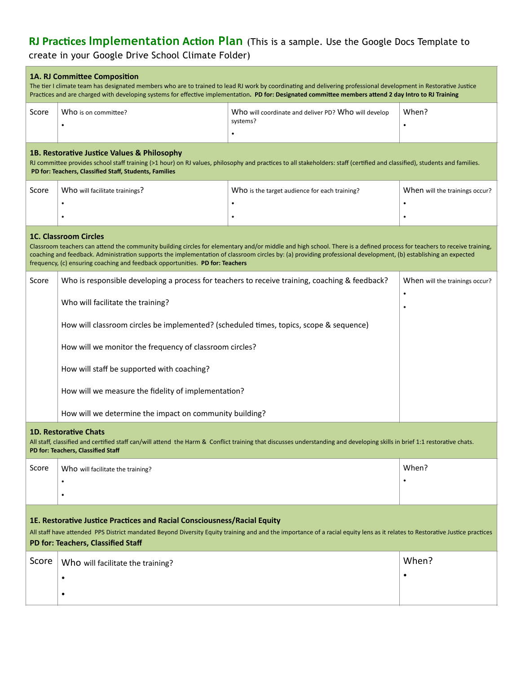## **RJ Practices Implementation Action Plan** (This is a sample. Use the Google Docs Template to

create in your Google Drive School Climate Folder)

| 1A. RJ Committee Composition<br>The tier I climate team has designated members who are to trained to lead RJ work by coordinating and delivering professional development in Restorative Justice<br>Practices and are charged with developing systems for effective implementation. PD for: Designated committee members attend 2 day Intro to RJ Training |                                                                                                               |                                                                                                                                                                                                                                                                                                                                            |                                                  |  |
|------------------------------------------------------------------------------------------------------------------------------------------------------------------------------------------------------------------------------------------------------------------------------------------------------------------------------------------------------------|---------------------------------------------------------------------------------------------------------------|--------------------------------------------------------------------------------------------------------------------------------------------------------------------------------------------------------------------------------------------------------------------------------------------------------------------------------------------|--------------------------------------------------|--|
| Score                                                                                                                                                                                                                                                                                                                                                      | Who is on committee?                                                                                          | Who will coordinate and deliver PD? Who will develop<br>systems?                                                                                                                                                                                                                                                                           | When?<br>$\bullet$                               |  |
|                                                                                                                                                                                                                                                                                                                                                            | 1B. Restorative Justice Values & Philosophy<br>PD for: Teachers, Classified Staff, Students, Families         | RJ committee provides school staff training (>1 hour) on RJ values, philosophy and practices to all stakeholders: staff (certified and classified), students and families.                                                                                                                                                                 |                                                  |  |
| Score                                                                                                                                                                                                                                                                                                                                                      | Who will facilitate trainings?<br>$\bullet$                                                                   | Who is the target audience for each training?<br>$\bullet$                                                                                                                                                                                                                                                                                 | When will the trainings occur?<br>$\bullet$<br>٠ |  |
|                                                                                                                                                                                                                                                                                                                                                            | <b>1C. Classroom Circles</b><br>frequency, (c) ensuring coaching and feedback opportunities. PD for: Teachers | Classroom teachers can attend the community building circles for elementary and/or middle and high school. There is a defined process for teachers to receive training,<br>coaching and feedback. Administration supports the implementation of classroom circles by: (a) providing professional development, (b) establishing an expected |                                                  |  |
| Score                                                                                                                                                                                                                                                                                                                                                      | Who is responsible developing a process for teachers to receive training, coaching & feedback?                |                                                                                                                                                                                                                                                                                                                                            | When will the trainings occur?                   |  |
|                                                                                                                                                                                                                                                                                                                                                            | Who will facilitate the training?                                                                             | $\bullet$                                                                                                                                                                                                                                                                                                                                  |                                                  |  |
|                                                                                                                                                                                                                                                                                                                                                            | How will classroom circles be implemented? (scheduled times, topics, scope & sequence)                        |                                                                                                                                                                                                                                                                                                                                            |                                                  |  |
|                                                                                                                                                                                                                                                                                                                                                            | How will we monitor the frequency of classroom circles?                                                       |                                                                                                                                                                                                                                                                                                                                            |                                                  |  |
|                                                                                                                                                                                                                                                                                                                                                            | How will staff be supported with coaching?                                                                    |                                                                                                                                                                                                                                                                                                                                            |                                                  |  |
|                                                                                                                                                                                                                                                                                                                                                            | How will we measure the fidelity of implementation?                                                           |                                                                                                                                                                                                                                                                                                                                            |                                                  |  |
|                                                                                                                                                                                                                                                                                                                                                            | How will we determine the impact on community building?                                                       |                                                                                                                                                                                                                                                                                                                                            |                                                  |  |
| <b>1D. Restorative Chats</b><br>All staff, classified and certified staff can/will attend the Harm & Conflict training that discusses understanding and developing skills in brief 1:1 restorative chats.<br>PD for: Teachers, Classified Staff                                                                                                            |                                                                                                               |                                                                                                                                                                                                                                                                                                                                            |                                                  |  |
| Score                                                                                                                                                                                                                                                                                                                                                      | Who will facilitate the training?<br>$\bullet$                                                                | When?<br>$\bullet$                                                                                                                                                                                                                                                                                                                         |                                                  |  |
| 1E. Restorative Justice Practices and Racial Consciousness/Racial Equity<br>All staff have attended PPS District mandated Beyond Diversity Equity training and and the importance of a racial equity lens as it relates to Restorative Justice practices<br>PD for: Teachers, Classified Staff                                                             |                                                                                                               |                                                                                                                                                                                                                                                                                                                                            |                                                  |  |
| Score                                                                                                                                                                                                                                                                                                                                                      | Who will facilitate the training?                                                                             |                                                                                                                                                                                                                                                                                                                                            | When?<br>$\bullet$                               |  |
|                                                                                                                                                                                                                                                                                                                                                            |                                                                                                               |                                                                                                                                                                                                                                                                                                                                            |                                                  |  |
|                                                                                                                                                                                                                                                                                                                                                            |                                                                                                               |                                                                                                                                                                                                                                                                                                                                            |                                                  |  |